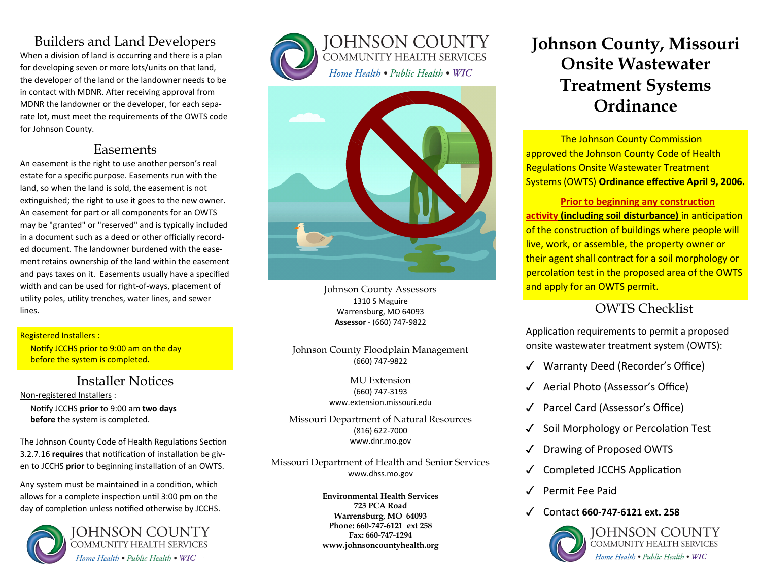## Builders and Land Developers

When a division of land is occurring and there is a plan for developing seven or more lots/units on that land, the developer of the land or the landowner needs to be in contact with MDNR. After receiving approval from MDNR the landowner or the developer, for each separate lot, must meet the requirements of the OWTS code for Johnson County.

## Easements

An easement is the right to use another person's real estate for a specific purpose. Easements run with the land, so when the land is sold, the easement is not extinguished; the right to use it goes to the new owner. An easement for part or all components for an OWTS may be "granted" or "reserved" and is typically included in a document such as a deed or other officially recorded document. The landowner burdened with the easement retains ownership of the land within the easement and pays taxes on it. Easements usually have a specified width and can be used for right-of-ways, placement of utility poles, utility trenches, water lines, and sewer lines.

### Registered Installers :

 Notify JCCHS prior to 9:00 am on the day before the system is completed.

## Installer Notices

Non-registered Installers :

 Notify JCCHS **prior** to 9:00 am **two days before** the system is completed.

The Johnson County Code of Health Regulations Section 3.2.7.16 **requires** that notification of installation be given to JCCHS **prior** to beginning installation of an OWTS.

Any system must be maintained in a condition, which allows for a complete inspection until 3:00 pm on the day of completion unless notified otherwise by JCCHS.





JOHNSON COUNTY **COMMUNITY HEALTH SERVICES** Home Health . Public Health . WIC



Johnson County Assessors 1310 S Maguire Warrensburg, MO 64093 **Assessor** - (660) 747-9822

Johnson County Floodplain Management (660) 747-9822

> MU Extension (660) 747-3193 www.extension.missouri.edu

Missouri Department of Natural Resources (816) 622-7000 www.dnr.mo.gov

Missouri Department of Health and Senior Services www.dhss.mo.gov

> **Environmental Health Services 723 PCA Road Warrensburg, MO 64093 Phone: 660-747-6121 ext 258 Fax: 660-747-1294 www.johnsoncountyhealth.org**

# **Johnson County, Missouri Onsite Wastewater Treatment Systems Ordinance**

The Johnson County Commission approved the Johnson County Code of Health Regulations Onsite Wastewater Treatment Systems (OWTS) **Ordinance effective April 9, 2006.** 

**Prior to beginning any construction activity (including soil disturbance)** in anticipation of the construction of buildings where people will live, work, or assemble, the property owner or their agent shall contract for a soil morphology or percolation test in the proposed area of the OWTS and apply for an OWTS permit.

## OWTS Checklist

Application requirements to permit a proposed onsite wastewater treatment system (OWTS):

- ✓ Warranty Deed (Recorder's Office)
- ✓ Aerial Photo (Assessor's Office)
- ✓ Parcel Card (Assessor's Office)
- Soil Morphology or Percolation Test
- Drawing of Proposed OWTS
- ✓ Completed JCCHS Application
- ✓ Permit Fee Paid
- ✓ Contact **660-747-6121 ext. 258**